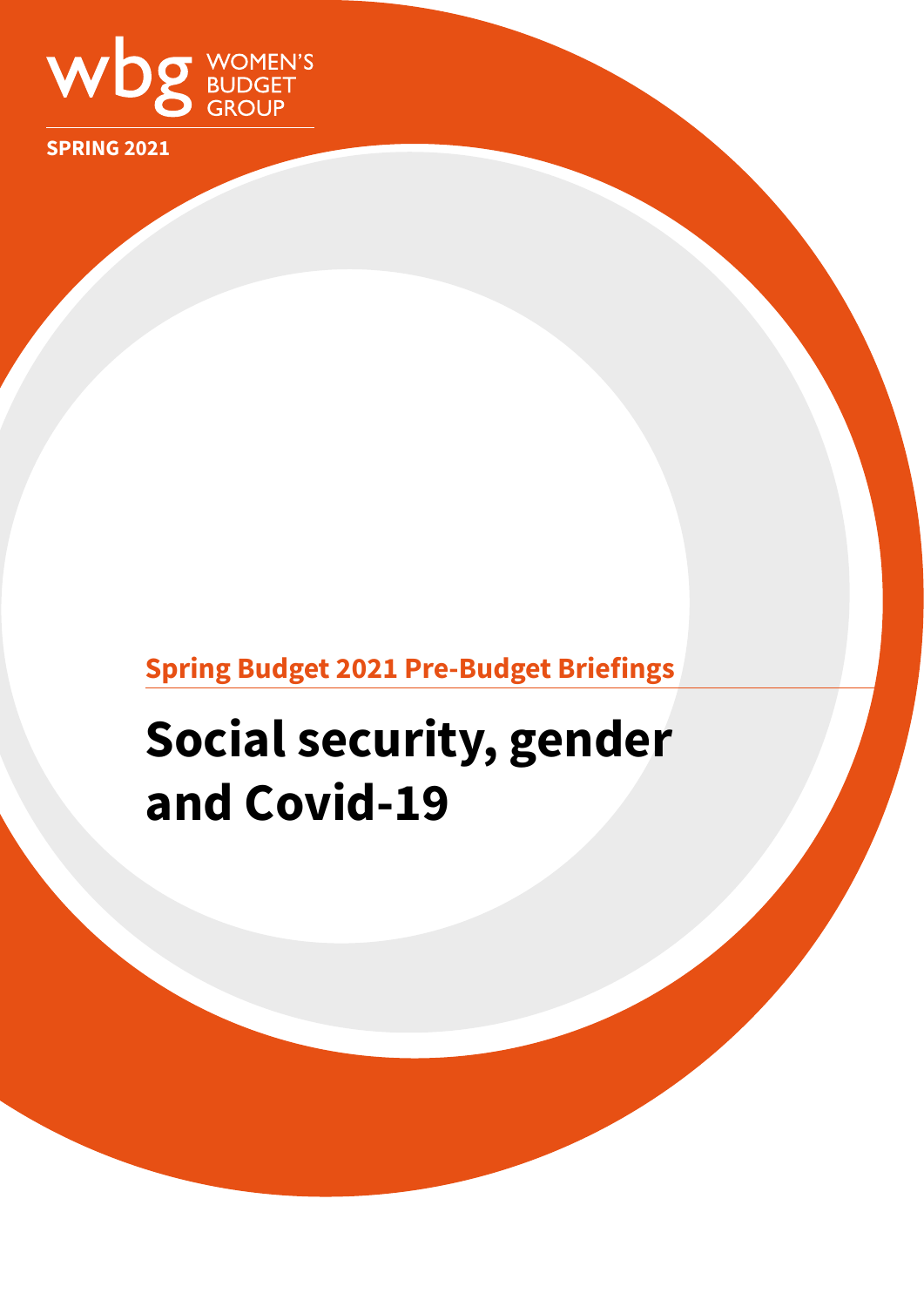

**SPRING 2021**

## **Spring Budget 2021 Pre-Budget Briefings**

# **Social security, gender and Covid-19**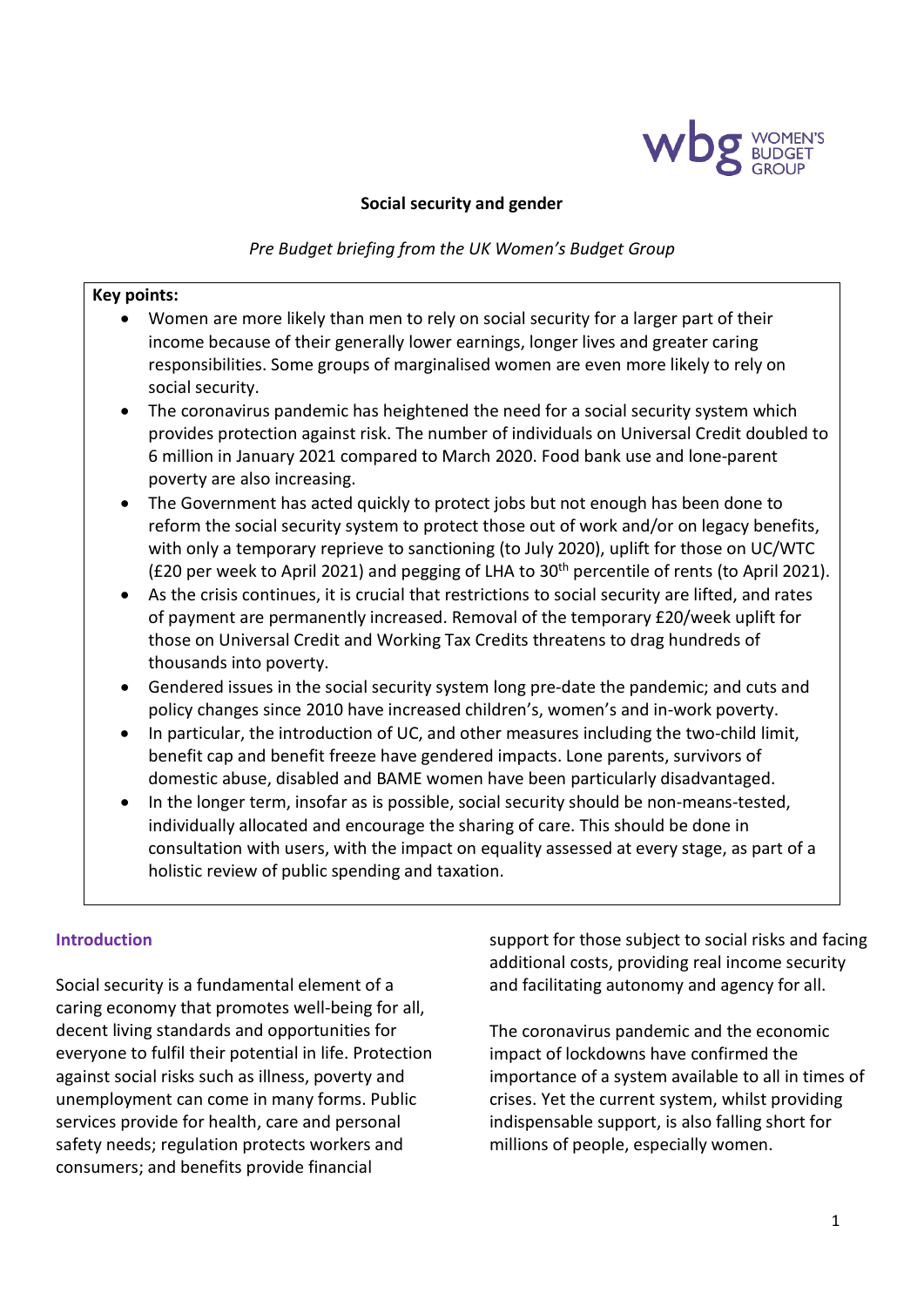

#### **Social security and gender**

*Pre Budget briefing from the UK Women's Budget Group*

#### **Key points:**

- Women are more likely than men to rely on social security for a larger part of their income because of their generally lower earnings, longer lives and greater caring responsibilities. Some groups of marginalised women are even more likely to rely on social security.
- The coronavirus pandemic has heightened the need for a social security system which provides protection against risk. The number of individuals on Universal Credit doubled to 6 million in January 2021 compared to March 2020. Food bank use and lone-parent poverty are also increasing.
- The Government has acted quickly to protect jobs but not enough has been done to reform the social security system to protect those out of work and/or on legacy benefits, with only a temporary reprieve to sanctioning (to July 2020), uplift for those on UC/WTC ( $E20$  per week to April 2021) and pegging of LHA to  $30<sup>th</sup>$  percentile of rents (to April 2021).
- As the crisis continues, it is crucial that restrictions to social security are lifted, and rates of payment are permanently increased. Removal of the temporary £20/week uplift for those on Universal Credit and Working Tax Credits threatens to drag hundreds of thousands into poverty.
- Gendered issues in the social security system long pre-date the pandemic; and cuts and policy changes since 2010 have increased children's, women's and in-work poverty.
- In particular, the introduction of UC, and other measures including the two-child limit, benefit cap and benefit freeze have gendered impacts. Lone parents, survivors of domestic abuse, disabled and BAME women have been particularly disadvantaged.
- In the longer term, insofar as is possible, social security should be non-means-tested, individually allocated and encourage the sharing of care. This should be done in consultation with users, with the impact on equality assessed at every stage, as part of a holistic review of public spending and taxation.

#### **Introduction**

Social security is a fundamental element of a caring economy that promotes well-being for all, decent living standards and opportunities for everyone to fulfil their potential in life. Protection against social risks such as illness, poverty and unemployment can come in many forms. Public services provide for health, care and personal safety needs; regulation protects workers and consumers; and benefits provide financial

support for those subject to social risks and facing additional costs, providing real income security and facilitating autonomy and agency for all.

The coronavirus pandemic and the economic impact of lockdowns have confirmed the importance of a system available to all in times of crises. Yet the current system, whilst providing indispensable support, is also falling short for millions of people, especially women.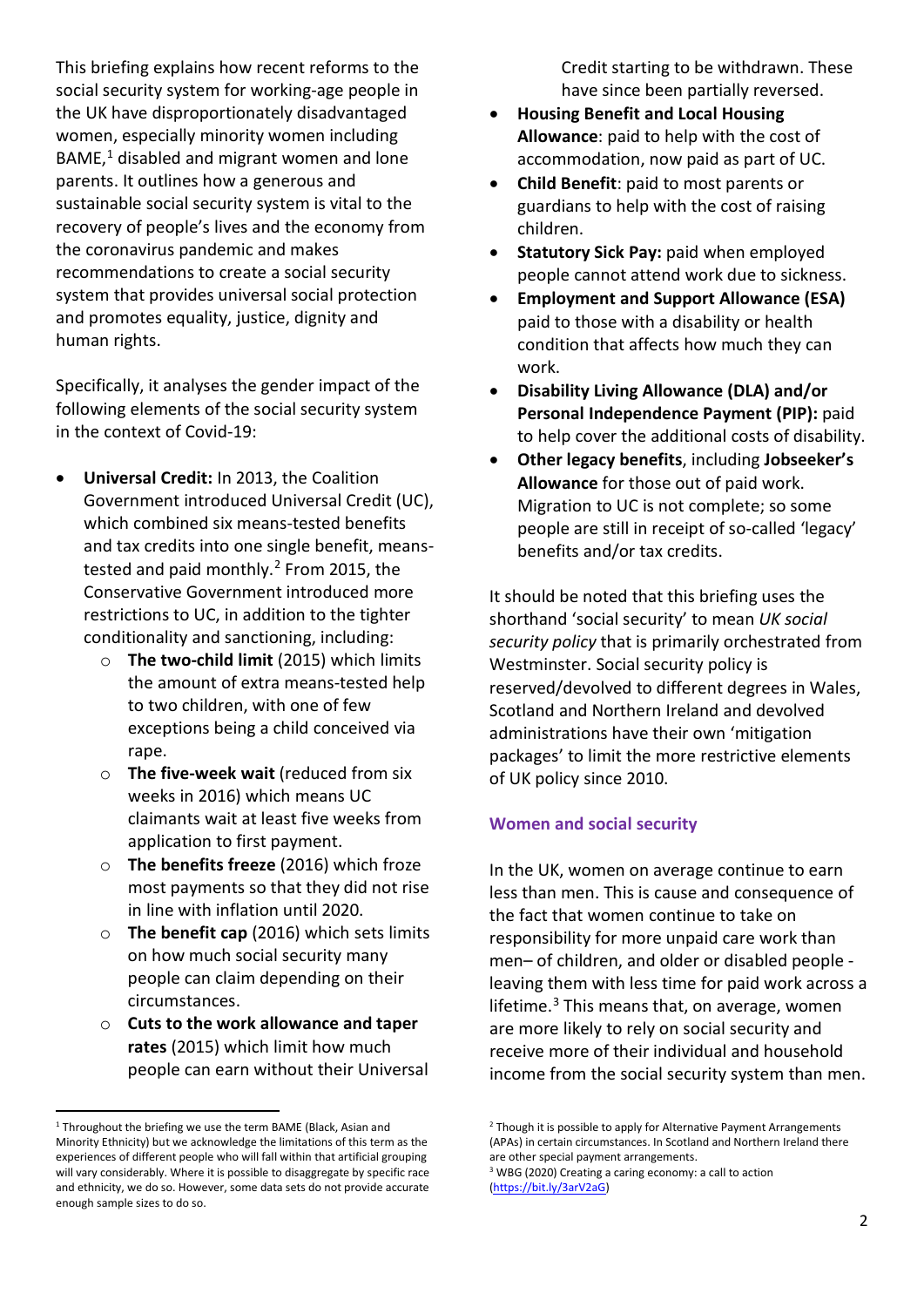This briefing explains how recent reforms to the social security system for working-age people in the UK have disproportionately disadvantaged women, especially minority women including BAME, [1](#page-2-0) disabled and migrant women and lone parents. It outlines how a generous and sustainable social security system is vital to the recovery of people's lives and the economy from the coronavirus pandemic and makes recommendations to create a social security system that provides universal social protection and promotes equality, justice, dignity and human rights.

Specifically, it analyses the gender impact of the following elements of the social security system in the context of Covid-19:

- **Universal Credit:** In 2013, the Coalition Government introduced Universal Credit (UC), which combined six means-tested benefits and tax credits into one single benefit, meanstested and paid monthly. [2](#page-2-0) From 2015, the Conservative Government introduced more restrictions to UC, in addition to the tighter conditionality and sanctioning, including:
	- o **The two-child limit** (2015) which limits the amount of extra means-tested help to two children, with one of few exceptions being a child conceived via rape.
	- o **The five-week wait** (reduced from six weeks in 2016) which means UC claimants wait at least five weeks from application to first payment.
	- o **The benefits freeze** (2016) which froze most payments so that they did not rise in line with inflation until 2020.
	- o **The benefit cap** (2016) which sets limits on how much social security many people can claim depending on their circumstances.
	- o **Cuts to the work allowance and taper rates** (2015) which limit how much people can earn without their Universal

Credit starting to be withdrawn. These have since been partially reversed.

- **Housing Benefit and Local Housing Allowance**: paid to help with the cost of accommodation, now paid as part of UC.
- **Child Benefit**: paid to most parents or guardians to help with the cost of raising children.
- **Statutory Sick Pay:** paid when employed people cannot attend work due to sickness.
- **Employment and Support Allowance (ESA)**  paid to those with a disability or health condition that affects how much they can work.
- **Disability Living Allowance (DLA) and/or Personal Independence Payment (PIP):** paid to help cover the additional costs of disability.
- **Other legacy benefits**, including **Jobseeker's Allowance** for those out of paid work. Migration to UC is not complete; so some people are still in receipt of so-called 'legacy' benefits and/or tax credits.

It should be noted that this briefing uses the shorthand 'social security' to mean *UK social security policy* that is primarily orchestrated from Westminster. Social security policy is reserved/devolved to different degrees in Wales, Scotland and Northern Ireland and devolved administrations have their own 'mitigation packages' to limit the more restrictive elements of UK policy since 2010.

### **Women and social security**

In the UK, women on average continue to earn less than men. This is cause and consequence of the fact that women continue to take on responsibility for more unpaid care work than men– of children, and older or disabled people leaving them with less time for paid work across a lifetime. $3$  This means that, on average, women are more likely to rely on social security and receive more of their individual and household income from the social security system than men.

<span id="page-2-1"></span><span id="page-2-0"></span><sup>&</sup>lt;sup>1</sup> Throughout the briefing we use the term BAME (Black, Asian and Minority Ethnicity) but we acknowledge the limitations of this term as the experiences of different people who will fall within that artificial grouping will vary considerably. Where it is possible to disaggregate by specific race and ethnicity, we do so. However, some data sets do not provide accurate enough sample sizes to do so.

<sup>&</sup>lt;sup>2</sup> Though it is possible to apply for Alternative Payment Arrangements (APAs) in certain circumstances. In Scotland and Northern Ireland there are other special payment arrangements.

<sup>3</sup> WBG (2020) Creating a caring economy: a call to action [\(https://bit.ly/3arV2aG\)](https://bit.ly/3arV2aG)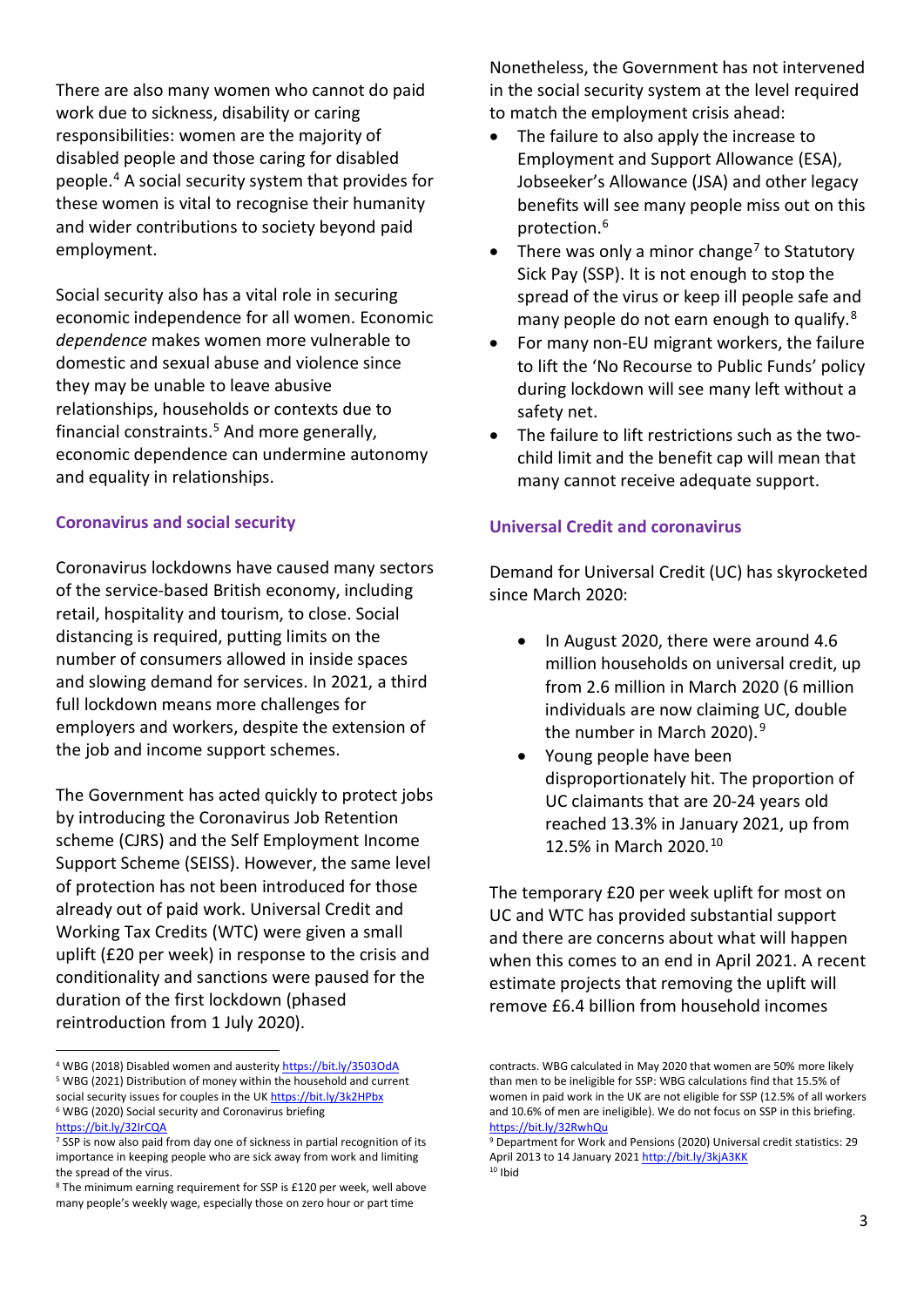There are also many women who cannot do paid work due to sickness, disability or caring responsibilities: women are the majority of disabled people and those caring for disabled people. [4](#page-3-0) A social security system that provides for these women is vital to recognise their humanity and wider contributions to society beyond paid employment.

Social security also has a vital role in securing economic independence for all women. Economic *dependence* makes women more vulnerable to domestic and sexual abuse and violence since they may be unable to leave abusive relationships, households or contexts due to financial constraints[.5](#page-3-1) And more generally, economic dependence can undermine autonomy and equality in relationships.

#### **Coronavirus and social security**

Coronavirus lockdowns have caused many sectors of the service-based British economy, including retail, hospitality and tourism, to close. Social distancing is required, putting limits on the number of consumers allowed in inside spaces and slowing demand for services. In 2021, a third full lockdown means more challenges for employers and workers, despite the extension of the job and income support schemes.

The Government has acted quickly to protect jobs by introducing the Coronavirus Job Retention scheme (CJRS) and the Self Employment Income Support Scheme (SEISS). However, the same level of protection has not been introduced for those already out of paid work. Universal Credit and Working Tax Credits (WTC) were given a small uplift (£20 per week) in response to the crisis and conditionality and sanctions were paused for the duration of the first lockdown (phased reintroduction from 1 July 2020).

Nonetheless, the Government has not intervened in the social security system at the level required to match the employment crisis ahead:

- The failure to also apply the increase to Employment and Support Allowance (ESA), Jobseeker's Allowance (JSA) and other legacy benefits will see many people miss out on this protection. [6](#page-3-2)
- There was only a minor change<sup>[7](#page-3-3)</sup> to Statutory Sick Pay (SSP). It is not enough to stop the spread of the virus or keep ill people safe and many people do not earn enough to qualify.<sup>[8](#page-3-4)</sup>
- For many non-EU migrant workers, the failure to lift the 'No Recourse to Public Funds' policy during lockdown will see many left without a safety net.
- The failure to lift restrictions such as the twochild limit and the benefit cap will mean that many cannot receive adequate support.

#### **Universal Credit and coronavirus**

Demand for Universal Credit (UC) has skyrocketed since March 2020:

- In August 2020, there were around 4.6 million households on universal credit, up from 2.6 million in March 2020 (6 million individuals are now claiming UC, double the number in March 2020).<sup>[9](#page-3-3)</sup>
- Young people have been disproportionately hit. The proportion of UC claimants that are 20-24 years old reached 13.3% in January 2021, up from 12.5% in March 2020.[10](#page-3-5)

The temporary £20 per week uplift for most on UC and WTC has provided substantial support and there are concerns about what will happen when this comes to an end in April 2021. A recent estimate projects that removing the uplift will remove £6.4 billion from household incomes

<span id="page-3-0"></span><sup>4</sup> WBG (2018) Disabled women and austerit[y https://bit.ly/3503OdA](https://bit.ly/3503OdA) <sup>5</sup> WBG (2021) Distribution of money within the household and current

<span id="page-3-2"></span><span id="page-3-1"></span>social security issues for couples in the U[K https://bit.ly/3k2HPbx](https://bit.ly/3k2HPbx) <sup>6</sup> WBG (2020) Social security and Coronavirus briefing <https://bit.ly/32IrCQA>

<span id="page-3-3"></span><sup>&</sup>lt;sup>7</sup> SSP is now also paid from day one of sickness in partial recognition of its importance in keeping people who are sick away from work and limiting the spread of the virus.

<span id="page-3-5"></span><span id="page-3-4"></span><sup>8</sup> The minimum earning requirement for SSP is £120 per week, well above many people's weekly wage, especially those on zero hour or part time

contracts. WBG calculated in May 2020 that women are 50% more likely than men to be ineligible for SSP: WBG calculations find that 15.5% of women in paid work in the UK are not eligible for SSP (12.5% of all workers and 10.6% of men are ineligible). We do not focus on SSP in this briefing. <https://bit.ly/32RwhQu>

<sup>9</sup> Department for Work and Pensions (2020) Universal credit statistics: 29 April 2013 to 14 January 2021 <http://bit.ly/3kjA3KK>  $10$  Ibid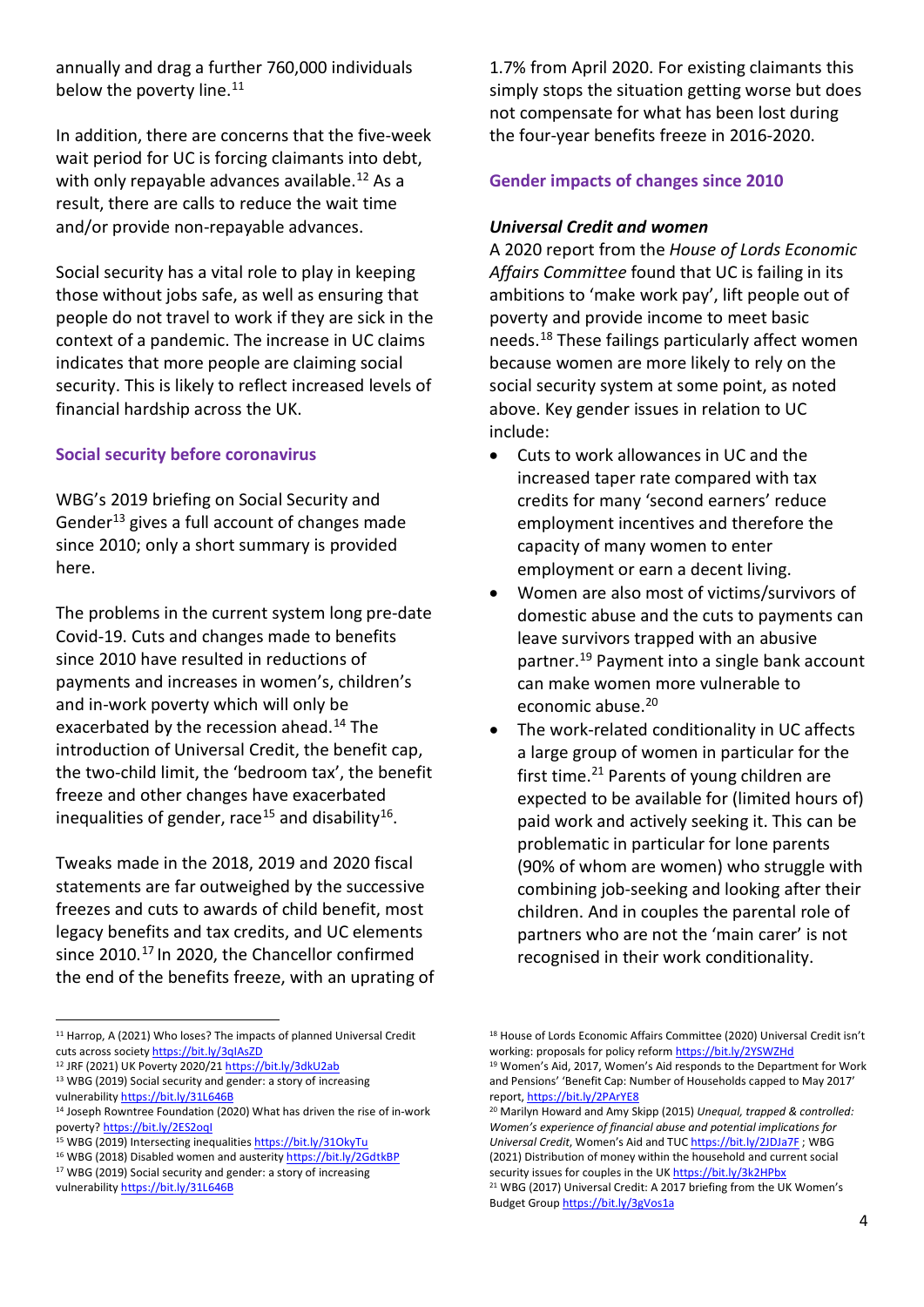annually and drag a further 760,000 individuals below the poverty line.<sup>[11](#page-4-0)</sup>

In addition, there are concerns that the five-week wait period for UC is forcing claimants into debt, with only repayable advances available.<sup>[12](#page-4-1)</sup> As a result, there are calls to reduce the wait time and/or provide non-repayable advances.

Social security has a vital role to play in keeping those without jobs safe, as well as ensuring that people do not travel to work if they are sick in the context of a pandemic. The increase in UC claims indicates that more people are claiming social security. This is likely to reflect increased levels of financial hardship across the UK.

#### **Social security before coronavirus**

WBG's 2019 briefing on Social Security and Gender<sup>[13](#page-4-2)</sup> gives a full account of changes made since 2010; only a short summary is provided here.

The problems in the current system long pre-date Covid-19. Cuts and changes made to benefits since 2010 have resulted in reductions of payments and increases in women's, children's and in-work poverty which will only be exacerbated by the recession ahead. [14](#page-4-3) The introduction of Universal Credit, the benefit cap, the two-child limit, the 'bedroom tax', the benefit freeze and other changes have exacerbated inequalities of gender, race<sup>[15](#page-4-4)</sup> and disability<sup>[16](#page-4-5)</sup>.

Tweaks made in the 2018, 2019 and 2020 fiscal statements are far outweighed by the successive freezes and cuts to awards of child benefit, most legacy benefits and tax credits, and UC elements since 2010. [17](#page-4-6) In 2020, the Chancellor confirmed the end of the benefits freeze, with an uprating of

1.7% from April 2020. For existing claimants this simply stops the situation getting worse but does not compensate for what has been lost during the four-year benefits freeze in 2016-2020.

#### **Gender impacts of changes since 2010**

#### *Universal Credit and women*

A 2020 report from the *House of Lords Economic Affairs Committee* found that UC is failing in its ambitions to 'make work pay', lift people out of poverty and provide income to meet basic needs. [18](#page-4-0) These failings particularly affect women because women are more likely to rely on the social security system at some point, as noted above. Key gender issues in relation to UC include:

- Cuts to work allowances in UC and the increased taper rate compared with tax credits for many 'second earners' reduce employment incentives and therefore the capacity of many women to enter employment or earn a decent living.
- Women are also most of victims/survivors of domestic abuse and the cuts to payments can leave survivors trapped with an abusive partner. [19](#page-4-1) Payment into a single bank account can make women more vulnerable to economic abuse. [20](#page-4-3)
- The work-related conditionality in UC affects a large group of women in particular for the first time. [21](#page-4-7) Parents of young children are expected to be available for (limited hours of) paid work and actively seeking it. This can be problematic in particular for lone parents (90% of whom are women) who struggle with combining job-seeking and looking after their children. And in couples the parental role of partners who are not the 'main carer' is not recognised in their work conditionality.

<span id="page-4-0"></span><sup>&</sup>lt;sup>11</sup> Harrop, A (2021) Who loses? The impacts of planned Universal Credit cuts across societ[y https://bit.ly/3qIAsZD](https://bit.ly/3qIAsZD)

<span id="page-4-1"></span><sup>12</sup> JRF (2021) UK Poverty 2020/2[1 https://bit.ly/3dkU2ab](https://bit.ly/3dkU2ab)

<span id="page-4-2"></span><sup>&</sup>lt;sup>13</sup> WBG (2019) Social security and gender: a story of increasing

vulnerabilit[y https://bit.ly/31L646B](https://bit.ly/31L646B)

<span id="page-4-3"></span><sup>&</sup>lt;sup>14</sup> Joseph Rowntree Foundation (2020) What has driven the rise of in-work poverty[? https://bit.ly/2ES2oqI](https://bit.ly/2ES2oqI)

<span id="page-4-4"></span><sup>15</sup> WBG (2019) Intersecting inequalitie[s https://bit.ly/31OkyTu](https://bit.ly/31OkyTu)

<span id="page-4-5"></span><sup>&</sup>lt;sup>16</sup> WBG (2018) Disabled women and austerity<https://bit.ly/2GdtkBP> <sup>17</sup> WBG (2019) Social security and gender: a story of increasing

<span id="page-4-7"></span><span id="page-4-6"></span>vulnerability <https://bit.ly/31L646B>

<sup>&</sup>lt;sup>18</sup> House of Lords Economic Affairs Committee (2020) Universal Credit isn't working: proposals for policy refor[m https://bit.ly/2YSWZHd](https://bit.ly/2YSWZHd) <sup>19</sup> Women's Aid, 2017, Women's Aid responds to the Department for Work and Pensions' 'Benefit Cap: Number of Households capped to May 2017' report,<https://bit.ly/2PArYE8>

<sup>20</sup> Marilyn Howard and Amy Skipp (2015) *Unequal, trapped & controlled: Women's experience of financial abuse and potential implications for Universal Credit*, Women's Aid and TU[C https://bit.ly/2JDJa7F](https://bit.ly/2JDJa7F) ; WBG (2021) Distribution of money within the household and current social security issues for couples in the U[K https://bit.ly/3k2HPbx](https://bit.ly/3k2HPbx) <sup>21</sup> WBG (2017) Universal Credit: A 2017 briefing from the UK Women's Budget Grou[p https://bit.ly/3gVos1a](https://bit.ly/3gVos1a)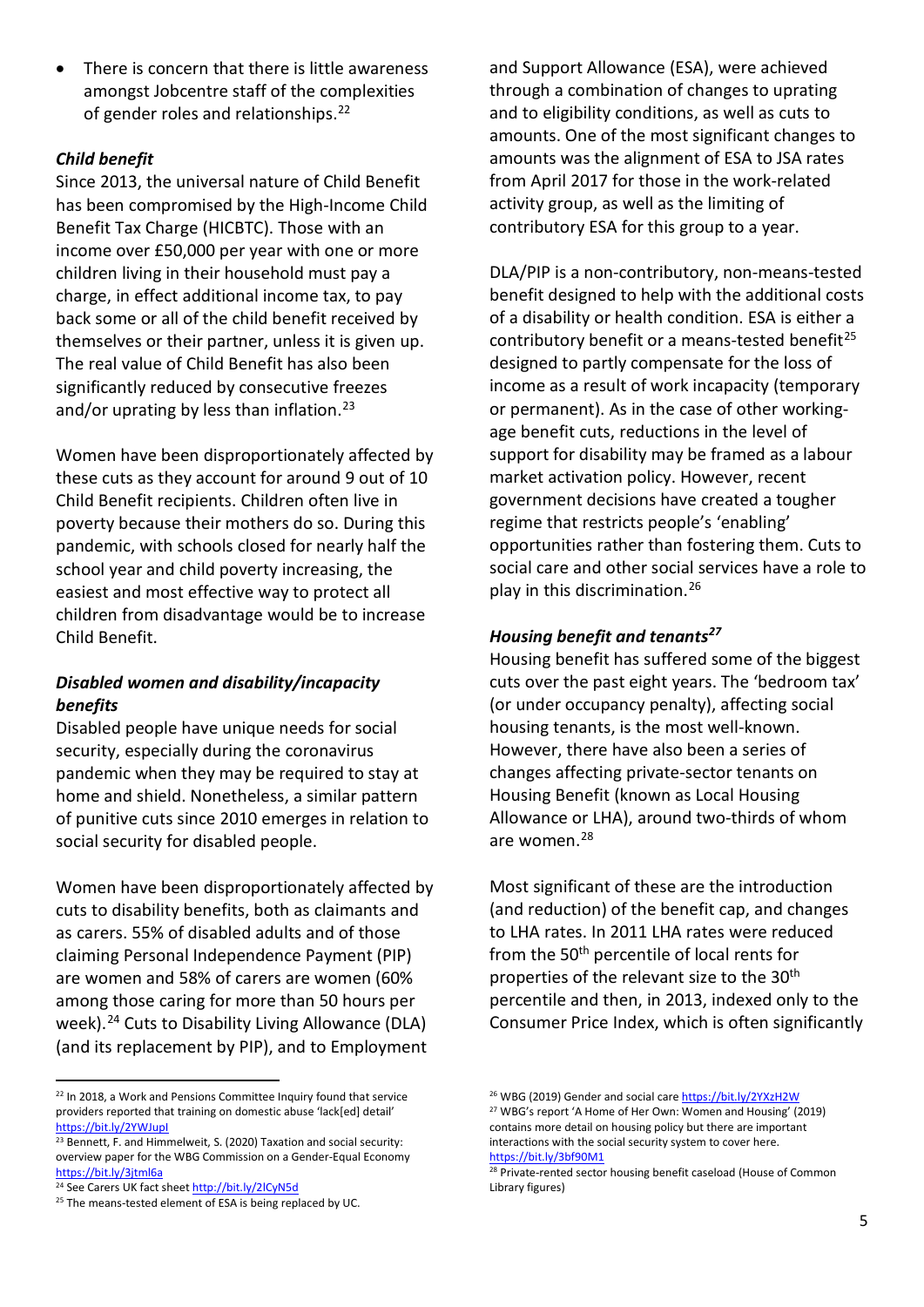There is concern that there is little awareness amongst Jobcentre staff of the complexities of gender roles and relationships.<sup>[22](#page-5-0)</sup>

#### *Child benefit*

Since 2013, the universal nature of Child Benefit has been compromised by the High-Income Child Benefit Tax Charge (HICBTC). Those with an income over £50,000 per year with one or more children living in their household must pay a charge, in effect additional income tax, to pay back some or all of the child benefit received by themselves or their partner, unless it is given up. The real value of Child Benefit has also been significantly reduced by consecutive freezes and/or uprating by less than inflation.<sup>[23](#page-5-1)</sup>

Women have been disproportionately affected by these cuts as they account for around 9 out of 10 Child Benefit recipients. Children often live in poverty because their mothers do so. During this pandemic, with schools closed for nearly half the school year and child poverty increasing, the easiest and most effective way to protect all children from disadvantage would be to increase Child Benefit.

#### *Disabled women and disability/incapacity benefits*

Disabled people have unique needs for social security, especially during the coronavirus pandemic when they may be required to stay at home and shield. Nonetheless, a similar pattern of punitive cuts since 2010 emerges in relation to social security for disabled people.

Women have been disproportionately affected by cuts to disability benefits, both as claimants and as carers. 55% of disabled adults and of those claiming Personal Independence Payment (PIP) are women and 58% of carers are women (60% among those caring for more than 50 hours per week).<sup>[24](#page-5-2)</sup> Cuts to Disability Living Allowance (DLA) (and its replacement by PIP), and to Employment

and Support Allowance (ESA), were achieved through a combination of changes to uprating and to eligibility conditions, as well as cuts to amounts. One of the most significant changes to amounts was the alignment of ESA to JSA rates from April 2017 for those in the work-related activity group, as well as the limiting of contributory ESA for this group to a year.

DLA/PIP is a non-contributory, non-means-tested benefit designed to help with the additional costs of a disability or health condition. ESA is either a contributory benefit or a means-tested benefit<sup>[25](#page-5-3)</sup> designed to partly compensate for the loss of income as a result of work incapacity (temporary or permanent). As in the case of other workingage benefit cuts, reductions in the level of support for disability may be framed as a labour market activation policy. However, recent government decisions have created a tougher regime that restricts people's 'enabling' opportunities rather than fostering them. Cuts to social care and other social services have a role to play in this discrimination. [26](#page-5-0)

#### *Housing benefit and tenants[27](#page-5-4)*

Housing benefit has suffered some of the biggest cuts over the past eight years. The 'bedroom tax' (or under occupancy penalty), affecting social housing tenants, is the most well-known. However, there have also been a series of changes affecting private-sector tenants on Housing Benefit (known as Local Housing Allowance or LHA), around two-thirds of whom are women. [28](#page-5-5)

Most significant of these are the introduction (and reduction) of the benefit cap, and changes to LHA rates. In 2011 LHA rates were reduced from the 50<sup>th</sup> percentile of local rents for properties of the relevant size to the 30<sup>th</sup> percentile and then, in 2013, indexed only to the Consumer Price Index, which is often significantly

<span id="page-5-4"></span><span id="page-5-0"></span><sup>&</sup>lt;sup>22</sup> In 2018, a Work and Pensions Committee Inquiry found that service providers reported that training on domestic abuse 'lack[ed] detail' <https://bit.ly/2YWJupI>

<span id="page-5-1"></span><sup>&</sup>lt;sup>23</sup> Bennett, F. and Himmelweit, S. (2020) Taxation and social security: overview paper for the WBG Commission on a Gender-Equal Economy <https://bit.ly/3jtml6a>

<span id="page-5-5"></span><span id="page-5-2"></span><sup>&</sup>lt;sup>24</sup> See Carers UK fact shee[t http://bit.ly/2lCyN5d](http://bit.ly/2lCyN5d)

<span id="page-5-3"></span><sup>&</sup>lt;sup>25</sup> The means-tested element of ESA is being replaced by UC.

<sup>&</sup>lt;sup>26</sup> WBG (2019) Gender and social car[e https://bit.ly/2YXzH2W](https://bit.ly/2YXzH2W) <sup>27</sup> WBG's report 'A Home of Her Own: Women and Housing' (2019) contains more detail on housing policy but there are important interactions with the social security system to cover here. <https://bit.ly/3bf90M1>

<sup>&</sup>lt;sup>28</sup> Private-rented sector housing benefit caseload (House of Common Library figures)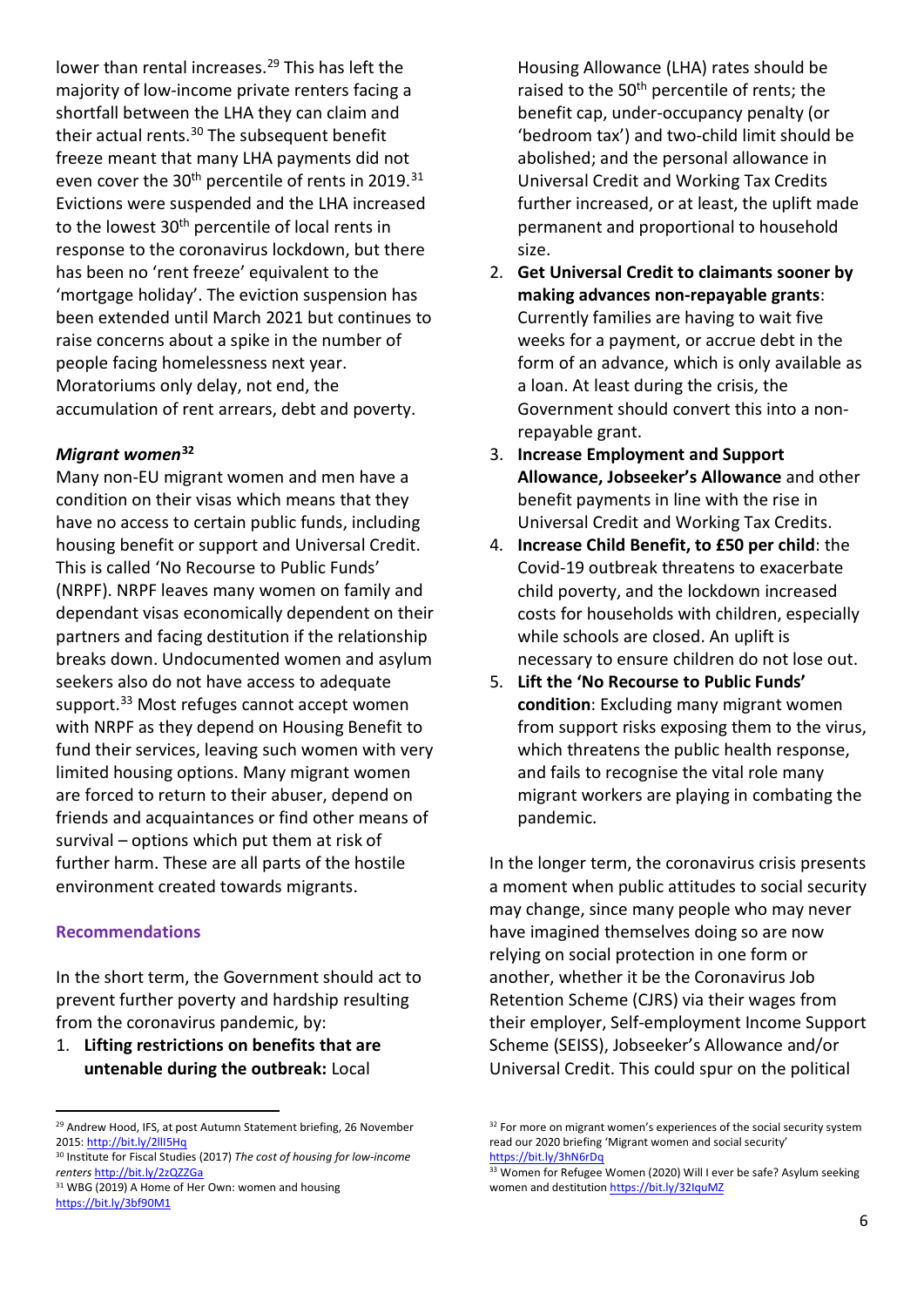lower than rental increases. [29](#page-6-0) This has left the majority of low-income private renters facing a shortfall between the LHA they can claim and their actual rents. [30](#page-6-1) The subsequent benefit freeze meant that many LHA payments did not even cover the  $30<sup>th</sup>$  percentile of rents in 2019.<sup>[31](#page-6-2)</sup> Evictions were suspended and the LHA increased to the lowest 30<sup>th</sup> percentile of local rents in response to the coronavirus lockdown, but there has been no 'rent freeze' equivalent to the 'mortgage holiday'. The eviction suspension has been extended until March 2021 but continues to raise concerns about a spike in the number of people facing homelessness next year. Moratoriums only delay, not end, the accumulation of rent arrears, debt and poverty.

#### *Migrant women***[32](#page-6-0)**

Many non-EU migrant women and men have a condition on their visas which means that they have no access to certain public funds, including housing benefit or support and Universal Credit. This is called 'No Recourse to Public Funds' (NRPF). NRPF leaves many women on family and dependant visas economically dependent on their partners and facing destitution if the relationship breaks down. Undocumented women and asylum seekers also do not have access to adequate support. [33](#page-6-3) Most refuges cannot accept women with NRPF as they depend on Housing Benefit to fund their services, leaving such women with very limited housing options. Many migrant women are forced to return to their abuser, depend on friends and acquaintances or find other means of survival – options which put them at risk of further harm. These are all parts of the hostile environment created towards migrants.

#### **Recommendations**

In the short term, the Government should act to prevent further poverty and hardship resulting from the coronavirus pandemic, by:

1. **Lifting restrictions on benefits that are untenable during the outbreak:** Local

Housing Allowance (LHA) rates should be raised to the 50<sup>th</sup> percentile of rents; the benefit cap, under-occupancy penalty (or 'bedroom tax') and two-child limit should be abolished; and the personal allowance in Universal Credit and Working Tax Credits further increased, or at least, the uplift made permanent and proportional to household size.

- 2. **Get Universal Credit to claimants sooner by making advances non-repayable grants**: Currently families are having to wait five weeks for a payment, or accrue debt in the form of an advance, which is only available as a loan. At least during the crisis, the Government should convert this into a nonrepayable grant.
- 3. **Increase Employment and Support Allowance, Jobseeker's Allowance** and other benefit payments in line with the rise in Universal Credit and Working Tax Credits.
- 4. **Increase Child Benefit, to £50 per child**: the Covid-19 outbreak threatens to exacerbate child poverty, and the lockdown increased costs for households with children, especially while schools are closed. An uplift is necessary to ensure children do not lose out.
- 5. **Lift the 'No Recourse to Public Funds' condition**: Excluding many migrant women from support risks exposing them to the virus, which threatens the public health response, and fails to recognise the vital role many migrant workers are playing in combating the pandemic.

In the longer term, the coronavirus crisis presents a moment when public attitudes to social security may change, since many people who may never have imagined themselves doing so are now relying on social protection in one form or another, whether it be the Coronavirus Job Retention Scheme (CJRS) via their wages from their employer, Self-employment Income Support Scheme (SEISS), Jobseeker's Allowance and/or Universal Credit. This could spur on the political

<span id="page-6-0"></span><sup>&</sup>lt;sup>29</sup> Andrew Hood, IFS, at post Autumn Statement briefing, 26 November 2015[: http://bit.ly/2llI5Hq](http://bit.ly/2llI5Hq)

<span id="page-6-3"></span><span id="page-6-1"></span><sup>30</sup> Institute for Fiscal Studies (2017) *The cost of housing for low-income renters* <http://bit.ly/2zQZZGa>

<span id="page-6-2"></span><sup>&</sup>lt;sup>31</sup> WBG (2019) A Home of Her Own: women and housing <https://bit.ly/3bf90M1>

<sup>&</sup>lt;sup>32</sup> For more on migrant women's experiences of the social security system read our 2020 briefing 'Migrant women and social security' <https://bit.ly/3hN6rDq>

<sup>33</sup> Women for Refugee Women (2020) Will I ever be safe? Asylum seeking women and destitutio[n https://bit.ly/32IquMZ](https://bit.ly/32IquMZ)